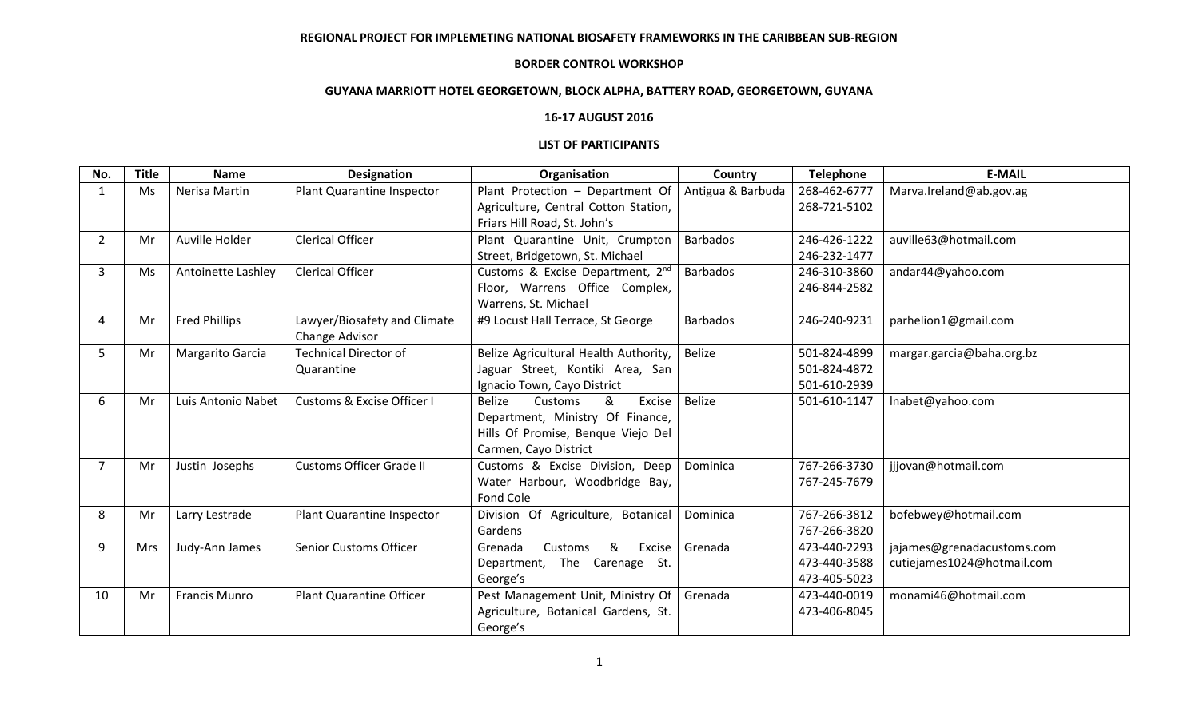## **REGIONAL PROJECT FOR IMPLEMETING NATIONAL BIOSAFETY FRAMEWORKS IN THE CARIBBEAN SUB-REGION**

#### **BORDER CONTROL WORKSHOP**

# **GUYANA MARRIOTT HOTEL GEORGETOWN, BLOCK ALPHA, BATTERY ROAD, GEORGETOWN, GUYANA**

# **16-17 AUGUST 2016**

#### **LIST OF PARTICIPANTS**

| No.            | <b>Title</b> | <b>Name</b>          | <b>Designation</b>                    | Organisation                            | Country           | <b>Telephone</b> | <b>E-MAIL</b>              |
|----------------|--------------|----------------------|---------------------------------------|-----------------------------------------|-------------------|------------------|----------------------------|
|                | Ms           | Nerisa Martin        | Plant Quarantine Inspector            | Plant Protection - Department Of        | Antigua & Barbuda | 268-462-6777     | Marva.Ireland@ab.gov.ag    |
|                |              |                      |                                       | Agriculture, Central Cotton Station,    |                   | 268-721-5102     |                            |
|                |              |                      |                                       | Friars Hill Road, St. John's            |                   |                  |                            |
| 2              | Mr           | Auville Holder       | <b>Clerical Officer</b>               | Plant Quarantine Unit, Crumpton         | <b>Barbados</b>   | 246-426-1222     | auville63@hotmail.com      |
|                |              |                      |                                       | Street, Bridgetown, St. Michael         |                   | 246-232-1477     |                            |
| 3              | Ms           | Antoinette Lashley   | <b>Clerical Officer</b>               | Customs & Excise Department, 2nd        | <b>Barbados</b>   | 246-310-3860     | andar44@yahoo.com          |
|                |              |                      |                                       | Floor, Warrens Office Complex,          |                   | 246-844-2582     |                            |
|                |              |                      |                                       | Warrens, St. Michael                    |                   |                  |                            |
| 4              | Mr           | <b>Fred Phillips</b> | Lawyer/Biosafety and Climate          | #9 Locust Hall Terrace, St George       | <b>Barbados</b>   | 246-240-9231     | parhelion1@gmail.com       |
|                |              |                      | Change Advisor                        |                                         |                   |                  |                            |
| 5              | Mr           | Margarito Garcia     | <b>Technical Director of</b>          | Belize Agricultural Health Authority,   | <b>Belize</b>     | 501-824-4899     | margar.garcia@baha.org.bz  |
|                |              |                      | Quarantine                            | Jaguar Street, Kontiki Area, San        |                   | 501-824-4872     |                            |
|                |              |                      |                                       | Ignacio Town, Cayo District             |                   | 501-610-2939     |                            |
| 6              | Mr           | Luis Antonio Nabet   | <b>Customs &amp; Excise Officer I</b> | &<br><b>Belize</b><br>Customs<br>Excise | <b>Belize</b>     | 501-610-1147     | Inabet@yahoo.com           |
|                |              |                      |                                       | Department, Ministry Of Finance,        |                   |                  |                            |
|                |              |                      |                                       | Hills Of Promise, Benque Viejo Del      |                   |                  |                            |
|                |              |                      |                                       | Carmen, Cayo District                   |                   |                  |                            |
| $\overline{7}$ | Mr           | Justin Josephs       | <b>Customs Officer Grade II</b>       | Customs & Excise Division, Deep         | Dominica          | 767-266-3730     | jjjovan@hotmail.com        |
|                |              |                      |                                       | Water Harbour, Woodbridge Bay,          |                   | 767-245-7679     |                            |
|                |              |                      |                                       | Fond Cole                               |                   |                  |                            |
| 8              | Mr           | Larry Lestrade       | Plant Quarantine Inspector            | Division Of Agriculture, Botanical      | Dominica          | 767-266-3812     | bofebwey@hotmail.com       |
|                |              |                      |                                       | Gardens                                 |                   | 767-266-3820     |                            |
| 9              | <b>Mrs</b>   | Judy-Ann James       | <b>Senior Customs Officer</b>         | &<br>Customs<br>Excise<br>Grenada       | Grenada           | 473-440-2293     | jajames@grenadacustoms.com |
|                |              |                      |                                       | The Carenage St.<br>Department,         |                   | 473-440-3588     | cutiejames1024@hotmail.com |
|                |              |                      |                                       | George's                                |                   | 473-405-5023     |                            |
| 10             | Mr           | <b>Francis Munro</b> | <b>Plant Quarantine Officer</b>       | Pest Management Unit, Ministry Of       | Grenada           | 473-440-0019     | monami46@hotmail.com       |
|                |              |                      |                                       | Agriculture, Botanical Gardens, St.     |                   | 473-406-8045     |                            |
|                |              |                      |                                       | George's                                |                   |                  |                            |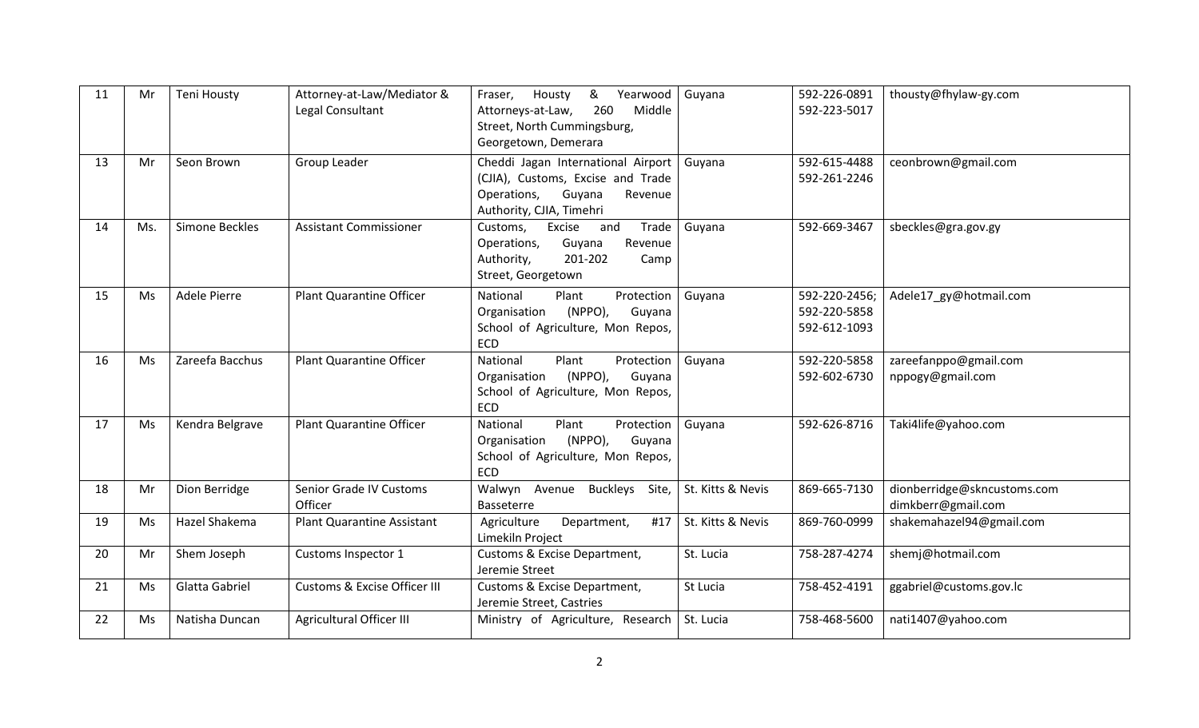| 11 | Mr  | <b>Teni Housty</b> | Attorney-at-Law/Mediator &<br>Legal Consultant | &<br>Housty<br>Yearwood<br>Fraser,<br>260<br>Middle<br>Attorneys-at-Law,<br>Street, North Cummingsburg,<br>Georgetown, Demerara         | Guyana            | 592-226-0891<br>592-223-5017                  | thousty@fhylaw-gy.com                             |
|----|-----|--------------------|------------------------------------------------|-----------------------------------------------------------------------------------------------------------------------------------------|-------------------|-----------------------------------------------|---------------------------------------------------|
| 13 | Mr  | Seon Brown         | Group Leader                                   | Cheddi Jagan International Airport<br>(CJIA), Customs, Excise and Trade<br>Guyana<br>Operations,<br>Revenue<br>Authority, CJIA, Timehri | Guyana            | 592-615-4488<br>592-261-2246                  | ceonbrown@gmail.com                               |
| 14 | Ms. | Simone Beckles     | <b>Assistant Commissioner</b>                  | and<br>Trade<br>Customs,<br>Excise<br>Guyana<br>Operations,<br>Revenue<br>201-202<br>Authority,<br>Camp<br>Street, Georgetown           | Guyana            | 592-669-3467                                  | sbeckles@gra.gov.gy                               |
| 15 | Ms  | Adele Pierre       | <b>Plant Quarantine Officer</b>                | National<br>Plant<br>Protection<br>(NPPO),<br>Organisation<br>Guyana<br>School of Agriculture, Mon Repos,<br>ECD                        | Guyana            | 592-220-2456;<br>592-220-5858<br>592-612-1093 | Adele17_gy@hotmail.com                            |
| 16 | Ms  | Zareefa Bacchus    | <b>Plant Quarantine Officer</b>                | National<br>Plant<br>Protection<br>(NPPO),<br>Guyana<br>Organisation<br>School of Agriculture, Mon Repos,<br>ECD                        | Guyana            | 592-220-5858<br>592-602-6730                  | zareefanppo@gmail.com<br>nppogy@gmail.com         |
| 17 | Ms  | Kendra Belgrave    | <b>Plant Quarantine Officer</b>                | National<br>Plant<br>Protection<br>(NPPO),<br>Organisation<br>Guyana<br>School of Agriculture, Mon Repos,<br><b>ECD</b>                 | Guyana            | 592-626-8716                                  | Taki4life@yahoo.com                               |
| 18 | Mr  | Dion Berridge      | Senior Grade IV Customs<br>Officer             | Walwyn Avenue Buckleys<br>Site,<br>Basseterre                                                                                           | St. Kitts & Nevis | 869-665-7130                                  | dionberridge@skncustoms.com<br>dimkberr@gmail.com |
| 19 | Ms  | Hazel Shakema      | <b>Plant Quarantine Assistant</b>              | Agriculture<br>Department,<br>#17<br>Limekiln Project                                                                                   | St. Kitts & Nevis | 869-760-0999                                  | shakemahazel94@gmail.com                          |
| 20 | Mr  | Shem Joseph        | Customs Inspector 1                            | Customs & Excise Department,<br>Jeremie Street                                                                                          | St. Lucia         | 758-287-4274                                  | shemj@hotmail.com                                 |
| 21 | Ms  | Glatta Gabriel     | Customs & Excise Officer III                   | Customs & Excise Department,<br>Jeremie Street, Castries                                                                                | St Lucia          | 758-452-4191                                  | ggabriel@customs.gov.lc                           |
| 22 | Ms  | Natisha Duncan     | Agricultural Officer III                       | Ministry of Agriculture, Research                                                                                                       | St. Lucia         | 758-468-5600                                  | nati1407@yahoo.com                                |